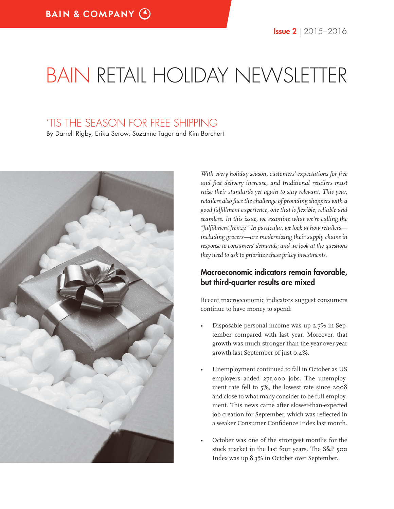# BAIN RETAIL HOLIDAY NEWSLETTER

# 'TIS THE SEASON FOR FREE SHIPPING

By Darrell Rigby, Erika Serow, Suzanne Tager and Kim Borchert



*With every holiday season, customers' expectations for free and fast delivery increase, and traditional retailers must raise their standards yet again to stay relevant. This year, retailers also face the challenge of providing shoppers with a good fulfi llment experience, one that is fl exible, reliable and seamless. In this issue, we examine what we're calling the "fulfi llment frenzy." In particular, we look at how retailers including grocers—are modernizing their supply chains in response to consumers' demands; and we look at the questions they need to ask to prioritize these pricey investments.*

### **Macroeconomic indicators remain favorable, but third-quarter results are mixed**

Recent macroeconomic indicators suggest consumers continue to have money to spend:

- Disposable personal income was up 2.7% in September compared with last year. Moreover, that growth was much stronger than the year-over-year growth last September of just 0.4%.
- Unemployment continued to fall in October as US employers added 271,000 jobs. The unemployment rate fell to 5%, the lowest rate since 2008 and close to what many consider to be full employment. This news came after slower-than-expected job creation for September, which was reflected in a weaker Consumer Confidence Index last month.
- October was one of the strongest months for the stock market in the last four years. The S&P 500 Index was up 8.3% in October over September.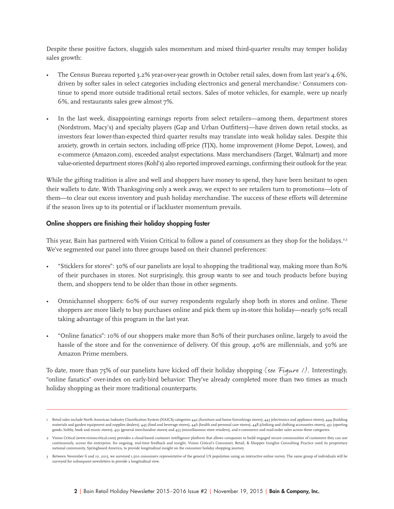Despite these positive factors, sluggish sales momentum and mixed third-quarter results may temper holiday sales growth:

- The Census Bureau reported 3.2% year-over-year growth in October retail sales, down from last year's 4.6%, driven by softer sales in select categories including electronics and general merchandise.1 Consumers continue to spend more outside traditional retail sectors. Sales of motor vehicles, for example, were up nearly 6%, and restaurants sales grew almost 7%.
- In the last week, disappointing earnings reports from select retailers—among them, department stores (Nordstrom, Macy's) and specialty players (Gap and Urban Outfitters)—have driven down retail stocks, as investors fear lower-than-expected third quarter results may translate into weak holiday sales. Despite this anxiety, growth in certain sectors, including off-price (TJX), home improvement (Home Depot, Lowes), and e-commerce (Amazon.com), exceeded analyst expectations. Mass merchandisers (Target, Walmart) and more value-oriented department stores (Kohl's) also reported improved earnings, confirming their outlook for the year.

While the gifting tradition is alive and well and shoppers have money to spend, they have been hesitant to open their wallets to date. With Thanksgiving only a week away, we expect to see retailers turn to promotions—lots of them—to clear out excess inventory and push holiday merchandise. The success of these efforts will determine if the season lives up to its potential or if lackluster momentum prevails.

#### **Online shoppers are finishing their holiday shopping faster**

This year, Bain has partnered with Vision Critical to follow a panel of consumers as they shop for the holidays.<sup>2,3</sup> We've segmented our panel into three groups based on their channel preferences:

- "Sticklers for stores": 30% of our panelists are loyal to shopping the traditional way, making more than 80% of their purchases in stores. Not surprisingly, this group wants to see and touch products before buying them, and shoppers tend to be older than those in other segments.
- Omnichannel shoppers: 60% of our survey respondents regularly shop both in stores and online. These shoppers are more likely to buy purchases online and pick them up in-store this holiday—nearly 50% recall taking advantage of this program in the last year.
- "Online fanatics": 10% of our shoppers make more than 80% of their purchases online, largely to avoid the hassle of the store and for the convenience of delivery. Of this group, 40% are millennials, and 50% are Amazon Prime members.

To date, more than 75% of our panelists have kicked off their holiday shopping (see Fiqure /). Interestingly, "online fanatics" over-index on early-bird behavior: They've already completed more than two times as much holiday shopping as their more traditional counterparts.

I Retail sales include North American Industry Classification System (NAICS) categories 442 (furniture and home furnishings stores), 443 (electronics and appliance stores), 444 (building materials and garden equipment and supplies dealers), 445 (food and beverage stores), 446 (health and personal care stores), 448 (clothing and clothing accessories stores), 451 (sporting goods, hobby, book and music stores), 452 (general merchandise stores) and 453 (miscellaneous store retailers), and e-commerce and mail-order sales across these categories.

<sup>2</sup> Vision Critical (www.visioncritical.com) provides a cloud-based customer intelligence platform that allows companies to build engaged secure communities of customers they can use continuously, across the enterprise, for ongoing, real-time feedback and insight. Vision Critical's Consumer, Retail, & Shopper Insights Consulting Practice used its proprietary national community, Springboard America, to provide longitudinal insight on the consumer holiday shopping journey.

<sup>3</sup> Between November 6 and 10, 2015, we surveyed 1,500 consumers representative of the general US population using an interactive online survey. The same group of individuals will be surveyed for subsequent newsletters to provide a longitudinal view.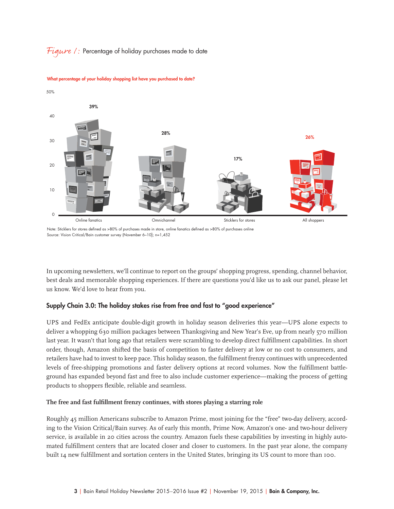#### *Figure*  $\ell$ *:* Percentage of holiday purchases made to date



**What percentage of your holiday shopping list have you purchased to date?**

Note: Sticklers for stores defined as >80% of purchases made in store, online fanatics defined as >80% of purchases online Source: Vision Critical/Bain customer survey (November 6–10); n=1,452

In upcoming newsletters, we'll continue to report on the groups' shopping progress, spending, channel behavior, best deals and memorable shopping experiences. If there are questions you'd like us to ask our panel, please let us know. We'd love to hear from you.

#### **Supply Chain 3.0: The holiday stakes rise from free and fast to "good experience"**

UPS and FedEx anticipate double-digit growth in holiday season deliveries this year—UPS alone expects to deliver a whopping 630 million packages between Thanksgiving and New Year's Eve, up from nearly 570 million last year. It wasn't that long ago that retailers were scrambling to develop direct fulfillment capabilities. In short order, though, Amazon shifted the basis of competition to faster delivery at low or no cost to consumers, and retailers have had to invest to keep pace. This holiday season, the fulfillment frenzy continues with unprecedented levels of free-shipping promotions and faster delivery options at record volumes. Now the fulfillment battleground has expanded beyond fast and free to also include customer experience—making the process of getting products to shoppers flexible, reliable and seamless.

#### The free and fast fulfillment frenzy continues, with stores playing a starring role

Roughly 45 million Americans subscribe to Amazon Prime, most joining for the "free" two-day delivery, according to the Vision Critical/Bain survey. As of early this month, Prime Now, Amazon's one- and two-hour delivery service, is available in 20 cities across the country. Amazon fuels these capabilities by investing in highly automated fulfillment centers that are located closer and closer to customers. In the past year alone, the company built 14 new fulfillment and sortation centers in the United States, bringing its US count to more than 100.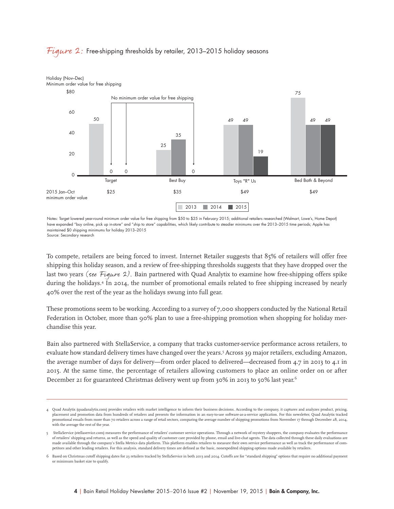

#### *Figure* 2: Free-shipping thresholds by retailer, 2013–2015 holiday seasons

Notes: Target lowered year-round minimum order value for free shipping from \$50 to \$25 in February 2015; additional retailers researched (Walmart, Lowe's, Home Depot) have expanded "buy online, pick up in-store" and "ship to store" capabilities, which likely contribute to steadier minimums over the 2013–2015 time periods; Apple has maintained \$0 shipping minimums for holiday 2013–2015

Source: Secondary research

To compete, retailers are being forced to invest. Internet Retailer suggests that 85% of retailers will offer free shipping this holiday season, and a review of free-shipping thresholds suggests that they have dropped over the last two years (see Figure 2). Bain partnered with Quad Analytix to examine how free-shipping offers spike during the holidays.4 In 2014, the number of promotional emails related to free shipping increased by nearly 40% over the rest of the year as the holidays swung into full gear.

These promotions seem to be working. According to a survey of 7,000 shoppers conducted by the National Retail Federation in October, more than 90% plan to use a free-shipping promotion when shopping for holiday merchandise this year.

Bain also partnered with StellaService, a company that tracks customer-service performance across retailers, to evaluate how standard delivery times have changed over the years.<sup>5</sup> Across 39 major retailers, excluding Amazon, the average number of days for delivery—from order placed to delivered—decreased from 4.7 in 2013 to 4.1 in 2015. At the same time, the percentage of retailers allowing customers to place an online order on or after December 21 for guaranteed Christmas delivery went up from 30% in 2013 to 50% last year.<sup>6</sup>

<sup>4</sup> Quad Analytix (quadanalytix.com) provides retailers with market intelligence to inform their business decisions. According to the company, it captures and analyzes product, pricing, placement and promotion data from hundreds of retailers and presents the information in an easy-to-use software-as-a-service application. For this newsletter, Quad Analytix tracked promotional emails from more than 70 retailers across a range of retail sectors, comparing the average number of shipping promotions from November 17 through December 28, 2014, with the average the rest of the year.

<sup>5</sup> StellaService (stellaservice.com) measures the performance of retailers' customer service operations. Through a network of mystery shoppers, the company evaluates the performance of retailers' shipping and returns, as well as the speed and quality of customer care provided by phone, email and live-chat agents. The data collected through these daily evaluations are made available through the company's Stella Metrics data platform. This platform enables retailers to measure their own service performance as well as track the performance of competitors and other leading retailers. For this analysis, standard delivery times are defined as the basic, nonexpedited shipping options made available by retailers.

<sup>6</sup> Based on Christmas cutoff shipping dates for 23 retailers tracked by StellaService in both 2013 and 2014. Cutoffs are for "standard shipping" options that require no additional payment or minimum basket size to qualify.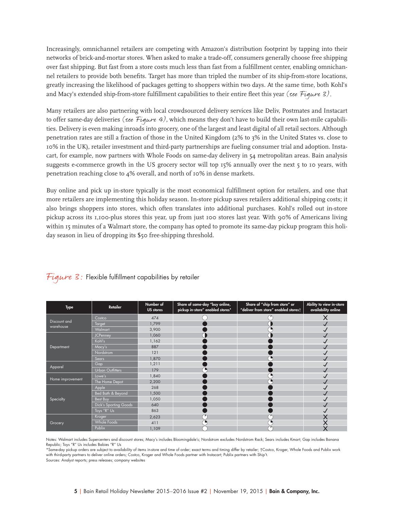Increasingly, omnichannel retailers are competing with Amazon's distribution footprint by tapping into their networks of brick-and-mortar stores. When asked to make a trade-off, consumers generally choose free shipping over fast shipping. But fast from a store costs much less than fast from a fulfillment center, enabling omnichannel retailers to provide both benefits. Target has more than tripled the number of its ship-from-store locations, greatly increasing the likelihood of packages getting to shoppers within two days. At the same time, both Kohl's and Macy's extended ship-from-store fulfillment capabilities to their entire fleet this year (see Figure 3).

Many retailers are also partnering with local crowdsourced delivery services like Deliv, Postmates and Instacart to offer same-day deliveries (see Figure 4), which means they don't have to build their own last-mile capabilities. Delivery is even making inroads into grocery, one of the largest and least digital of all retail sectors. Although penetration rates are still a fraction of those in the United Kingdom (2% to 3% in the United States vs. close to 10% in the UK), retailer investment and third-party partnerships are fueling consumer trial and adoption. Instacart, for example, now partners with Whole Foods on same-day delivery in 54 metropolitan areas. Bain analysis suggests e-commerce growth in the US grocery sector will top 15% annually over the next 5 to 10 years, with penetration reaching close to 4% overall, and north of 10% in dense markets.

Buy online and pick up in-store typically is the most economical fulfillment option for retailers, and one that more retailers are implementing this holiday season. In-store pickup saves retailers additional shipping costs; it also brings shoppers into stores, which often translates into additional purchases. Kohl's rolled out in-store pickup across its 1,100-plus stores this year, up from just 100 stores last year. With 90% of Americans living within 15 minutes of a Walmart store, the company has opted to promote its same-day pickup program this holiday season in lieu of dropping its \$50 free-shipping threshold.

| <b>Type</b>               | Retailer                | Number of<br><b>US</b> stores | Share of same-day "buy online,<br>pickup in-store" enabled stores* | Share of "ship from store" or<br>"deliver from store" enabled storest | Ability to view in-store<br>availability online |
|---------------------------|-------------------------|-------------------------------|--------------------------------------------------------------------|-----------------------------------------------------------------------|-------------------------------------------------|
| Discount and<br>warehouse | Costco                  | 474                           |                                                                    |                                                                       |                                                 |
|                           | Target                  | 1,799                         |                                                                    |                                                                       |                                                 |
|                           | Walmart                 | 3,900                         |                                                                    |                                                                       |                                                 |
| Department                | <b>JCPenney</b>         | 1,060                         |                                                                    |                                                                       |                                                 |
|                           | Kohl's                  | 1,162                         |                                                                    |                                                                       |                                                 |
|                           | Macy's                  | 887                           |                                                                    |                                                                       |                                                 |
|                           | <b>Nordstrom</b>        | 121                           |                                                                    |                                                                       |                                                 |
|                           | Sears                   | 1,870                         |                                                                    |                                                                       |                                                 |
| Apparel                   | Gap                     | 1,211                         |                                                                    |                                                                       |                                                 |
|                           | <b>Urban Outfitters</b> | 179                           |                                                                    |                                                                       |                                                 |
| Home improvement          | Lowe's                  | 1,840                         |                                                                    |                                                                       |                                                 |
|                           | The Home Depot          | 2,200                         |                                                                    |                                                                       |                                                 |
| Specialty                 | Apple                   | 268                           |                                                                    |                                                                       |                                                 |
|                           | Bed Bath & Beyond       | 1,500                         |                                                                    |                                                                       |                                                 |
|                           | Best Buy                | 1,050                         |                                                                    |                                                                       |                                                 |
|                           | Dick's Sporting Goods   | 640                           |                                                                    |                                                                       |                                                 |
|                           | Toys "R" Us             | 863                           |                                                                    |                                                                       |                                                 |
| Grocery                   | Kroger                  | 2,623                         |                                                                    |                                                                       |                                                 |
|                           | <b>Whole Foods</b>      | 411                           |                                                                    |                                                                       |                                                 |
|                           | Publix                  | 1,109                         |                                                                    |                                                                       |                                                 |

Figure  $\mathcal{S}$ : Flexible fulfillment capabilities by retailer

Notes: Walmart includes Supercenters and discount stores; Macy's includes Bloomingdale's; Nordstrom excludes Nordstrom Rack; Sears includes Kmart; Gap includes Banana Republic; Toys "R" Us includes Babies "R" Us

\*Same-day pickup orders are subject to availability of items in-store and time of order; exact terms and timing differ by retailer; †Costco, Kroger, Whole Foods and Publix work with third-party partners to deliver online orders; Costco, Kroger and Whole Foods partner with Instacart; Publix partners with Ship't. Sources: Analyst reports; press releases; company websites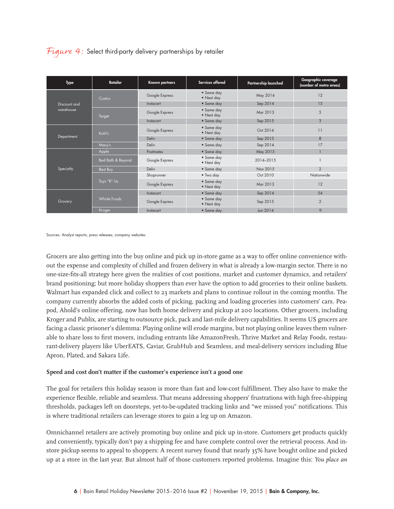## Figure 4: Select third-party delivery partnerships by retailer

| Type                      | Retailer          | Known partners | Services offered         | Partnership launched | Geographic coverage<br>(number of metro areas) |
|---------------------------|-------------------|----------------|--------------------------|----------------------|------------------------------------------------|
| Discount and<br>warehouse | Costco            | Google Express | • Same day<br>• Next day | May 2014             | 12                                             |
|                           |                   | Instacart      | • Same day               | Sep 2014             | 15                                             |
|                           | Target            | Google Express | • Same day<br>• Next day | Mar 2013             | 5                                              |
|                           |                   | Instacart      | • Same day               | Sep 2015             | 3                                              |
| Department                | Kohl's            | Google Express | • Same day<br>• Next day | Oct 2014             | 11                                             |
|                           |                   | Deliv          | • Same day               | Sep 2015             | 8                                              |
|                           | Macy's            | Deliv          | • Same day               | Sep 2014             | 17                                             |
| Specialty                 | Apple             | Postmates      | • Same day               | May 2015             |                                                |
|                           | Bed Bath & Beyond | Google Express | • Same day<br>• Next day | 2014-2015            |                                                |
|                           | Best Buy          | Deliv          | • Same day               | Nov 2015             | $\overline{2}$                                 |
|                           | Toys "R" Us       | Shoprunner     | • Two day                | Oct 2010             | Nationwide                                     |
|                           |                   | Google Express | • Same day<br>• Next day | Mar 2013             | 12                                             |
| Grocery                   | Whole Foods       | Instacart      | • Same day               | Sep 2014             | 54                                             |
|                           |                   | Google Express | • Same day<br>• Next day | Sep 2015             | $\overline{2}$                                 |
|                           | Kroger            | Instacart      | • Same day               | Jun 2014             | 9                                              |

Sources: Analyst reports; press releases; company websites

Grocers are also getting into the buy online and pick up in-store game as a way to offer online convenience without the expense and complexity of chilled and frozen delivery in what is already a low-margin sector. There is no one-size-fits-all strategy here given the realities of cost positions, market and customer dynamics, and retailers' brand positioning; but more holiday shoppers than ever have the option to add groceries to their online baskets. Walmart has expanded click and collect to 23 markets and plans to continue rollout in the coming months. The company currently absorbs the added costs of picking, packing and loading groceries into customers' cars. Peapod, Ahold's online offering, now has both home delivery and pickup at 200 locations. Other grocers, including Kroger and Publix, are starting to outsource pick, pack and last-mile delivery capabilities. It seems US grocers are facing a classic prisoner's dilemma: Playing online will erode margins, but not playing online leaves them vulnerable to share loss to first movers, including entrants like AmazonFresh, Thrive Market and Relay Foods, restaurant-delivery players like UberEATS, Caviar, GrubHub and Seamless, and meal-delivery services including Blue Apron, Plated, and Sakara Life.

#### **Speed and cost don't matter if the customer's experience isn't a good one**

The goal for retailers this holiday season is more than fast and low-cost fulfillment. They also have to make the experience flexible, reliable and seamless. That means addressing shoppers' frustrations with high free-shipping thresholds, packages left on doorsteps, yet-to-be-updated tracking links and "we missed you" notifications. This is where traditional retailers can leverage stores to gain a leg up on Amazon.

Omnichannel retailers are actively promoting buy online and pick up in-store. Customers get products quickly and conveniently, typically don't pay a shipping fee and have complete control over the retrieval process. And instore pickup seems to appeal to shoppers: A recent survey found that nearly 35% have bought online and picked up at a store in the last year. But almost half of those customers reported problems. Imagine this: *You place an*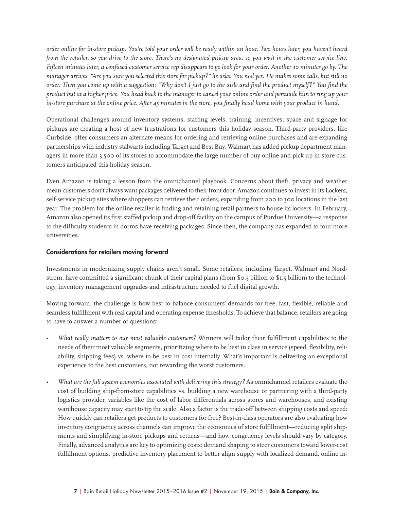*order online for in-store pickup. You're told your order will be ready within an hour. Two hours later, you haven't heard from the retailer, so you drive to the store. There's no designated pickup area, so you wait in the customer service line. Fifteen minutes later, a confused customer service rep disappears to go look for your order. Another 10 minutes go by. The manager arrives. "Are you sure you selected this store for pickup?" he asks. You nod yes. He makes some calls, but still no order. Then you come up with a suggestion: "Why don't I just go to the aisle and find the product myself?" You find the product but at a higher price. You head back to the manager to cancel your online order and persuade him to ring up your in-store purchase at the online price. After 45 minutes in the store, you finally head home with your product in hand.* 

Operational challenges around inventory systems, staffing levels, training, incentives, space and signage for pickups are creating a host of new frustrations for customers this holiday season. Third-party providers, like Curbside, offer consumers an alternate means for ordering and retrieving online purchases and are expanding partnerships with industry stalwarts including Target and Best Buy. Walmart has added pickup department managers in more than 3,500 of its stores to accommodate the large number of buy online and pick up in-store customers anticipated this holiday season.

Even Amazon is taking a lesson from the omnichannel playbook. Concerns about theft, privacy and weather mean customers don't always want packages delivered to their front door. Amazon continues to invest in its Lockers, self-service pickup sites where shoppers can retrieve their orders, expanding from 200 to 300 locations in the last year. The problem for the online retailer is finding and retaining retail partners to house its lockers. In February, Amazon also opened its first staffed pickup and drop-off facility on the campus of Purdue University—a response to the difficulty students in dorms have receiving packages. Since then, the company has expanded to four more universities.

#### **Considerations for retailers moving forward**

Investments in modernizing supply chains aren't small. Some retailers, including Target, Walmart and Nordstrom, have committed a significant chunk of their capital plans (from \$0.5 billion to \$1.5 billion) to the technology, inventory management upgrades and infrastructure needed to fuel digital growth.

Moving forward, the challenge is how best to balance consumers' demands for free, fast, flexible, reliable and seamless fulfillment with real capital and operating expense thresholds. To achieve that balance, retailers are going to have to answer a number of questions:

- What really matters to our most valuable customers? Winners will tailor their fulfillment capabilities to the needs of their most valuable segments, prioritizing where to be best in class in service (speed, flexibility, reliability, shipping fees) vs. where to be best in cost internally. What's important is delivering an exceptional experience to the best customers, not rewarding the worst customers.
- *What are the full system economics associated with delivering this strategy?* As omnichannel retailers evaluate the cost of building ship-from-store capabilities vs. building a new warehouse or partnering with a third-party logistics provider, variables like the cost of labor differentials across stores and warehouses, and existing warehouse capacity may start to tip the scale. Also a factor is the trade-off between shipping costs and speed: How quickly can retailers get products to customers for free? Best-in-class operators are also evaluating how inventory congruency across channels can improve the economics of store fulfillment—reducing split shipments and simplifying in-store pickups and returns—and how congruency levels should vary by category. Finally, advanced analytics are key to optimizing costs: demand shaping to steer customers toward lower-cost fulfillment options, predictive inventory placement to better align supply with localized demand, online in-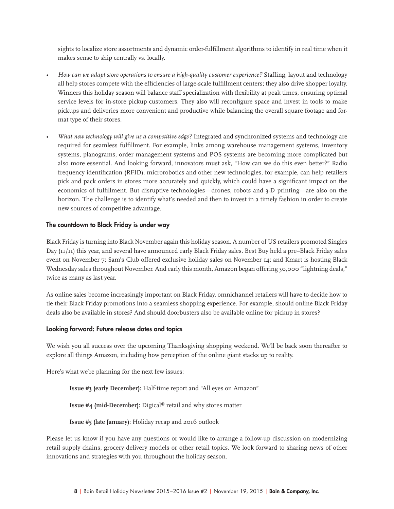sights to localize store assortments and dynamic order-fulfillment algorithms to identify in real time when it makes sense to ship centrally vs. locally.

- *How can we adapt store operations to ensure a high-quality customer experience?* Staffing, layout and technology all help stores compete with the efficiencies of large-scale fulfillment centers; they also drive shopper loyalty. Winners this holiday season will balance staff specialization with flexibility at peak times, ensuring optimal service levels for in-store pickup customers. They also will reconfigure space and invest in tools to make pickups and deliveries more convenient and productive while balancing the overall square footage and format type of their stores.
- *What new technology will give us a competitive edge?* Integrated and synchronized systems and technology are required for seamless fulfillment. For example, links among warehouse management systems, inventory systems, planograms, order management systems and POS systems are becoming more complicated but also more essential. And looking forward, innovators must ask, "How can we do this even better?" Radio frequency identification (RFID), microrobotics and other new technologies, for example, can help retailers pick and pack orders in stores more accurately and quickly, which could have a significant impact on the economics of fulfillment. But disruptive technologies—drones, robots and 3-D printing—are also on the horizon. The challenge is to identify what's needed and then to invest in a timely fashion in order to create new sources of competitive advantage.

#### **The countdown to Black Friday is under way**

Black Friday is turning into Black November again this holiday season. A number of US retailers promoted Singles Day (11/11) this year, and several have announced early Black Friday sales. Best Buy held a pre–Black Friday sales event on November 7; Sam's Club offered exclusive holiday sales on November 14; and Kmart is hosting Black Wednesday sales throughout November. And early this month, Amazon began offering 30,000 "lightning deals," twice as many as last year.

As online sales become increasingly important on Black Friday, omnichannel retailers will have to decide how to tie their Black Friday promotions into a seamless shopping experience. For example, should online Black Friday deals also be available in stores? And should doorbusters also be available online for pickup in stores?

#### **Looking forward: Future release dates and topics**

We wish you all success over the upcoming Thanksgiving shopping weekend. We'll be back soon thereafter to explore all things Amazon, including how perception of the online giant stacks up to reality.

Here's what we're planning for the next few issues:

**Issue #3 (early December):** Half-time report and "All eyes on Amazon"

**Issue #4 (mid-December):** Digical® retail and why stores matter

**Issue #5 (late January):** Holiday recap and 2016 outlook

Please let us know if you have any questions or would like to arrange a follow-up discussion on modernizing retail supply chains, grocery delivery models or other retail topics. We look forward to sharing news of other innovations and strategies with you throughout the holiday season.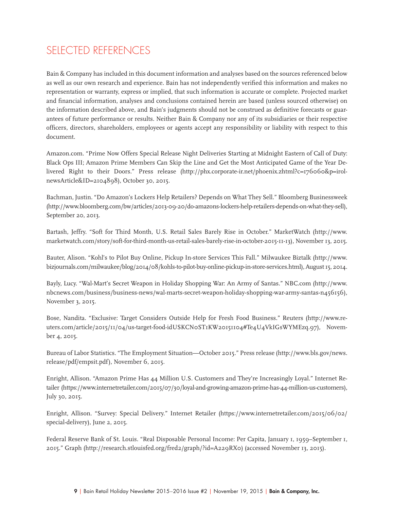# SELECTED REFERENCES

Bain & Company has included in this document information and analyses based on the sources referenced below as well as our own research and experience. Bain has not independently verified this information and makes no representation or warranty, express or implied, that such information is accurate or complete. Projected market and financial information, analyses and conclusions contained herein are based (unless sourced otherwise) on the information described above, and Bain's judgments should not be construed as definitive forecasts or guarantees of future performance or results. Neither Bain & Company nor any of its subsidiaries or their respective officers, directors, shareholders, employees or agents accept any responsibility or liability with respect to this document.

Amazon.com. "Prime Now Offers Special Release Night Deliveries Starting at Midnight Eastern of Call of Duty: Black Ops III; Amazon Prime Members Can Skip the Line and Get the Most Anticipated Game of the Year Delivered Right to their Doors." Press release (http://phx.corporate-ir.net/phoenix.zhtml?c=176060&p=irolnewsArticle&ID=2104898), October 30, 2015.

Bachman, Justin. "Do Amazon's Lockers Help Retailers? Depends on What They Sell." Bloomberg Businessweek (http://www.bloomberg.com/bw/articles/2013-09-20/do-amazons-lockers-help-retailers-depends-on-what-they-sell), September 20, 2013.

Bartash, Jeffry. "Soft for Third Month, U.S. Retail Sales Barely Rise in October." MarketWatch (http://www. marketwatch.com/story/soft-for-third-month-us-retail-sales-barely-rise-in-october-2015-11-13), November 13, 2015.

Bauter, Alison. "Kohl's to Pilot Buy Online, Pickup In-store Services This Fall." Milwaukee Biztalk (http://www. bizjournals.com/milwaukee/blog/2014/08/kohls-to-pilot-buy-online-pickup-in-store-services.html), August 15, 2014.

Bayly, Lucy. "Wal-Mart's Secret Weapon in Holiday Shopping War: An Army of Santas." NBC.com (http://www. nbcnews.com/business/business-news/wal-marts-secret-weapon-holiday-shopping-war-army-santas-n456156), November 3, 2015.

Bose, Nandita. "Exclusive: Target Considers Outside Help for Fresh Food Business." Reuters (http://www.reuters.com/article/2015/11/04/us-target-food-idUSKCN0ST1KW20151104#Te4U4VkIGsWYMEzq.97), November 4, 2015.

Bureau of Labor Statistics. "The Employment Situation—October 2015." Press release (http://www.bls.gov/news. release/pdf/empsit.pdf), November 6, 2015.

Enright, Allison. "Amazon Prime Has 44 Million U.S. Customers and They're Increasingly Loyal." Internet Retailer (https://www.internetretailer.com/2015/07/30/loyal-and-growing-amazon-prime-has-44-million-us-customers), July 30, 2015.

Enright, Allison. "Survey: Special Delivery." Internet Retailer (https://www.internetretailer.com/2015/06/02/ special-delivery), June 2, 2015.

Federal Reserve Bank of St. Louis. "Real Disposable Personal Income: Per Capita, January 1, 1959–September 1, 2015." Graph (http://research.stlouisfed.org/fred2/graph/?id=A229RX0) (accessed November 13, 2015).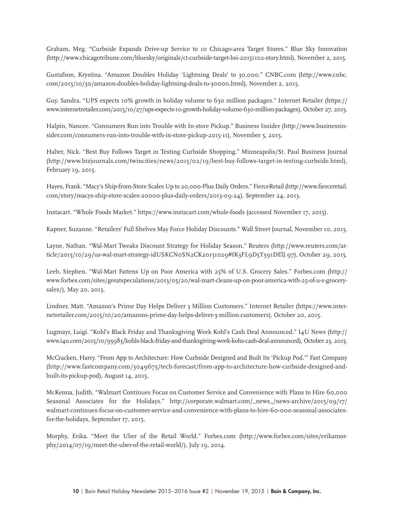Graham, Meg. "Curbside Expands Drive-up Service to 10 Chicago-area Target Stores." Blue Sky Innovation (http://www.chicagotribune.com/bluesky/originals/ct-curbside-target-bsi-20151102-story.html), November 2, 2015.

Gustafson, Krystina. "Amazon Doubles Holiday 'Lightning Deals' to 30,000." CNBC.com (http://www.cnbc. com/2015/10/30/amazon-doubles-holiday-lightning-deals-to-30000.html), November 2, 2015.

Guy, Sandra. "UPS expects 10% growth in holiday volume to 630 million packages." Internet Retailer (https:// www.internetretailer.com/2015/10/27/ups-expects-10-growth-holiday-volume-630-million-packages), October 27, 2015.

Halpin, Nancee. "Consumers Run into Trouble with In-store Pickup." Business Insider (http://www.businessinsider.com/consumers-run-into-trouble-with-in-store-pickup-2015-11), November 5, 2015.

Halter, Nick. "Best Buy Follows Target in Testing Curbside Shopping." Minneapolis/St. Paul Business Journal (http://www.bizjournals.com/twincities/news/2015/02/19/best-buy-follows-target-in-testing-curbside.html), February 19, 2015.

Hayes, Frank. "Macy's Ship-from-Store Scales Up to 20,000-Plus Daily Orders." FierceRetail (http://www.fierceretail. com/story/macys-ship-store-scales-20000-plus-daily-orders/2013-09-24), September 24, 2013.

Instacart. "Whole Foods Market." https://www.instacart.com/whole-foods (accessed November 17, 2015).

Kapner, Suzanne. "Retailers' Full Shelves May Force Holiday Discounts." Wall Street Journal, November 10, 2015.

Layne, Nathan. "Wal-Mart Tweaks Discount Strategy for Holiday Season." Reuters (http://www.reuters.com/article/2015/10/29/us-wal-mart-strategy-idUSKCN0SN2CK20151029#IK3FL9D5Y591DElJ.97), October 29, 2015.

Leeb, Stephen. "Wal-Mart Fattens Up on Poor America with 25% of U.S. Grocery Sales." Forbes.com (http:// www.forbes.com/sites/greatspeculations/2013/05/20/wal-mart-cleans-up-on-poor-america-with-25-of-u-s-grocerysales/), May 20, 2013.

Lindner, Matt. "Amazon's Prime Day Helps Deliver 3 Million Customers." Internet Retailer (https://www.internetretailer.com/2015/10/20/amazons-prime-day-helps-deliver-3-million-customers), October 20, 2015.

Lugmayr, Luigi. "Kohl's Black Friday and Thanksgiving Week Kohl's Cash Deal Announced." I4U News (http:// www.i4u.com/2015/10/95983/kohls-black-friday-and-thanksgiving-week-kohs-cash-deal-announced), October 23, 2015.

McCracken, Harry. "From App to Architecture: How Curbside Designed and Built Its 'Pickup Pod.'" Fast Company (http://www.fastcompany.com/3049675/tech-forecast/from-app-to-architecture-how-curbside-designed-andbuilt-its-pickup-pod), August 14, 2015.

McKenna, Judith. "Walmart Continues Focus on Customer Service and Convenience with Plans to Hire 60,000 Seasonal Associates for the Holidays." http://corporate.walmart.com/\_news\_/news-archive/2015/09/17/ walmart-continues-focus-on-customer-service-and-convenience-with-plans-to-hire-60-000-seasonal-associatesfor-the-holidays, September 17, 2015.

Morphy, Erika. "Meet the Uber of the Retail World." Forbes.com (http://www.forbes.com/sites/erikamorphy/2014/07/19/meet-the-uber-of-the-retail-world/), July 19, 2014.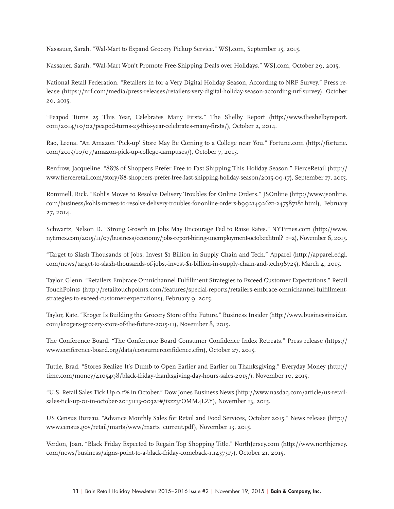Nassauer, Sarah. "Wal-Mart to Expand Grocery Pickup Service." WSJ.com, September 15, 2015.

Nassauer, Sarah. "Wal-Mart Won't Promote Free-Shipping Deals over Holidays." WSJ.com, October 29, 2015.

National Retail Federation. "Retailers in for a Very Digital Holiday Season, According to NRF Survey." Press release (https://nrf.com/media/press-releases/retailers-very-digital-holiday-season-according-nrf-survey), October 20, 2015.

"Peapod Turns 25 This Year, Celebrates Many Firsts." The Shelby Report (http://www.theshelbyreport. com/2014/10/02/peapod-turns-25-this-year-celebrates-many-fi rsts/), October 2, 2014.

Rao, Leena. "An Amazon 'Pick-up' Store May Be Coming to a College near You." Fortune.com (http://fortune. com/2015/10/07/amazon-pick-up-college-campuses/), October 7, 2015.

Renfrow, Jacqueline. "88% of Shoppers Prefer Free to Fast Shipping This Holiday Season." FierceRetail (http:// www.fierceretail.com/story/88-shoppers-prefer-free-fast-shipping-holiday-season/2015-09-17), September 17, 2015.

Rommell, Rick. "Kohl's Moves to Resolve Delivery Troubles for Online Orders." JSOnline (http://www.jsonline. com/business/kohls-moves-to-resolve-delivery-troubles-for-online-orders-b99214926z1-247587181.html), February 27, 2014.

Schwartz, Nelson D. "Strong Growth in Jobs May Encourage Fed to Raise Rates." NYTimes.com (http://www. nytimes.com/2015/11/07/business/economy/jobs-report-hiring-unemployment-october.html?\_r=2), November 6, 2015.

"Target to Slash Thousands of Jobs, Invest \$1 Billion in Supply Chain and Tech." Apparel (http://apparel.edgl. com/news/target-to-slash-thousands-of-jobs,-invest-\$1-billion-in-supply-chain-and-tech98725), March 4, 2015.

Taylor, Glenn. "Retailers Embrace Omnichannel Fulfillment Strategies to Exceed Customer Expectations." Retail TouchPoints (http://retailtouchpoints.com/features/special-reports/retailers-embrace-omnichannel-fulfillmentstrategies-to-exceed-customer-expectations), February 9, 2015.

Taylor, Kate. "Kroger Is Building the Grocery Store of the Future." Business Insider (http://www.businessinsider. com/krogers-grocery-store-of-the-future-2015-11), November 8, 2015.

The Conference Board. "The Conference Board Consumer Confidence Index Retreats." Press release (https:// www.conference-board.org/data/consumerconfidence.cfm), October 27, 2015.

Tuttle, Brad. "Stores Realize It's Dumb to Open Earlier and Earlier on Thanksgiving." Everyday Money (http:// time.com/money/4105498/black-friday-thanksgiving-day-hours-sales-2015/), November 10, 2015.

"U.S. Retail Sales Tick Up 0.1% in October." Dow Jones Business News (http://www.nasdaq.com/article/us-retailsales-tick-up-01-in-october-20151113-00321#/ixzz3rOMM4LZY), November 13, 2015.

US Census Bureau. "Advance Monthly Sales for Retail and Food Services, October 2015." News release (http:// www.census.gov/retail/marts/www/marts\_current.pdf), November 13, 2015.

Verdon, Joan. "Black Friday Expected to Regain Top Shopping Title." NorthJersey.com (http://www.northjersey. com/news/business/signs-point-to-a-black-friday-comeback-1.1437317), October 21, 2015.